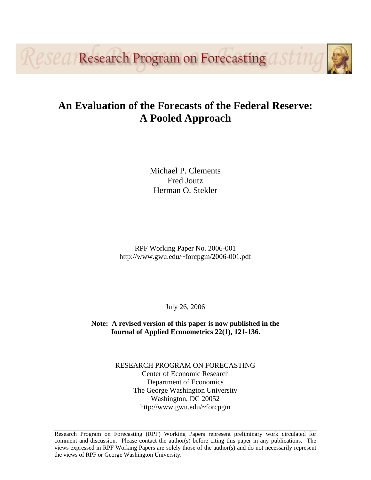**PSPA/Research Program on Forecasting** 

## **An Evaluation of the Forecasts of the Federal Reserve: A Pooled Approach**

Michael P. Clements Fred Joutz Herman O. Stekler

RPF Working Paper No. 2006-001 http://www.gwu.edu/~forcpgm/2006-001.pdf

July 26, 2006

**Note: A revised version of this paper is now published in the Journal of Applied Econometrics 22(1), 121-136.** 

> RESEARCH PROGRAM ON FORECASTING Center of Economic Research Department of Economics The George Washington University Washington, DC 20052 http://www.gwu.edu/~forcpgm

Research Program on Forecasting (RPF) Working Papers represent preliminary work circulated for comment and discussion. Please contact the author(s) before citing this paper in any publications. The views expressed in RPF Working Papers are solely those of the author(s) and do not necessarily represent the views of RPF or George Washington University.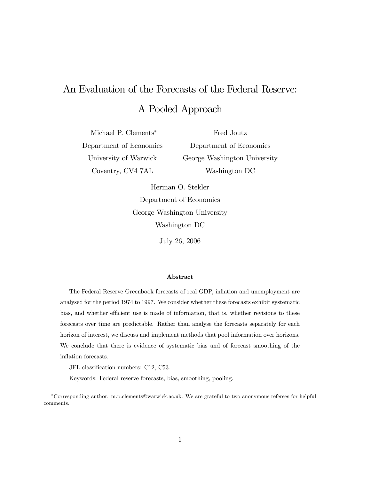# An Evaluation of the Forecasts of the Federal Reserve: A Pooled Approach

Michael P. Clements<sup>∗</sup> Department of Economics University of Warwick Coventry, CV4 7AL

Fred Joutz Department of Economics George Washington University Washington DC

Herman O. Stekler Department of Economics George Washington University Washington DC

July 26, 2006

#### Abstract

The Federal Reserve Greenbook forecasts of real GDP, inflation and unemployment are analysed for the period 1974 to 1997. We consider whether these forecasts exhibit systematic bias, and whether efficient use is made of information, that is, whether revisions to these forecasts over time are predictable. Rather than analyse the forecasts separately for each horizon of interest, we discuss and implement methods that pool information over horizons. We conclude that there is evidence of systematic bias and of forecast smoothing of the inflation forecasts.

JEL classification numbers: C12, C53.

Keywords: Federal reserve forecasts, bias, smoothing, pooling.

<sup>∗</sup>Corresponding author. m.p.clements@warwick.ac.uk. We are grateful to two anonymous referees for helpful comments.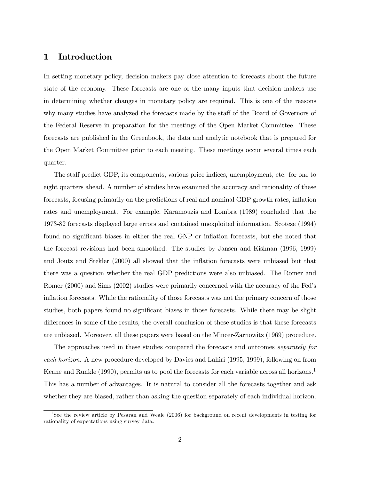## 1 Introduction

In setting monetary policy, decision makers pay close attention to forecasts about the future state of the economy. These forecasts are one of the many inputs that decision makers use in determining whether changes in monetary policy are required. This is one of the reasons why many studies have analyzed the forecasts made by the staff of the Board of Governors of the Federal Reserve in preparation for the meetings of the Open Market Committee. These forecasts are published in the Greenbook, the data and analytic notebook that is prepared for the Open Market Committee prior to each meeting. These meetings occur several times each quarter.

The staff predict GDP, its components, various price indices, unemployment, etc. for one to eight quarters ahead. A number of studies have examined the accuracy and rationality of these forecasts, focusing primarily on the predictions of real and nominal GDP growth rates, inflation rates and unemployment. For example, Karamouzis and Lombra (1989) concluded that the 1973-82 forecasts displayed large errors and contained unexploited information. Scotese (1994) found no significant biases in either the real GNP or inflation forecasts, but she noted that the forecast revisions had been smoothed. The studies by Jansen and Kishnan (1996, 1999) and Joutz and Stekler (2000) all showed that the inflation forecasts were unbiased but that there was a question whether the real GDP predictions were also unbiased. The Romer and Romer (2000) and Sims (2002) studies were primarily concerned with the accuracy of the Fed's inflation forecasts. While the rationality of those forecasts was not the primary concern of those studies, both papers found no significant biases in those forecasts. While there may be slight differences in some of the results, the overall conclusion of these studies is that these forecasts are unbiased. Moreover, all these papers were based on the Mincer-Zarnowitz (1969) procedure.

The approaches used in these studies compared the forecasts and outcomes *separately for* each horizon. A new procedure developed by Davies and Lahiri (1995, 1999), following on from Keane and Runkle (1990), permits us to pool the forecasts for each variable across all horizons.<sup>1</sup> This has a number of advantages. It is natural to consider all the forecasts together and ask whether they are biased, rather than asking the question separately of each individual horizon.

<sup>&</sup>lt;sup>1</sup>See the review article by Pesaran and Weale (2006) for background on recent developments in testing for rationality of expectations using survey data.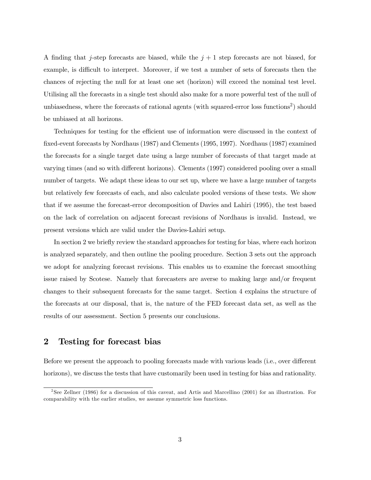A finding that j-step forecasts are biased, while the  $j+1$  step forecasts are not biased, for example, is difficult to interpret. Moreover, if we test a number of sets of forecasts then the chances of rejecting the null for at least one set (horizon) will exceed the nominal test level. Utilising all the forecasts in a single test should also make for a more powerful test of the null of unbiasedness, where the forecasts of rational agents (with squared-error loss functions<sup>2</sup>) should be unbiased at all horizons.

Techniques for testing for the efficient use of information were discussed in the context of fixed-event forecasts by Nordhaus (1987) and Clements (1995, 1997). Nordhaus (1987) examined the forecasts for a single target date using a large number of forecasts of that target made at varying times (and so with different horizons). Clements (1997) considered pooling over a small number of targets. We adapt these ideas to our set up, where we have a large number of targets but relatively few forecasts of each, and also calculate pooled versions of these tests. We show that if we assume the forecast-error decomposition of Davies and Lahiri (1995), the test based on the lack of correlation on adjacent forecast revisions of Nordhaus is invalid. Instead, we present versions which are valid under the Davies-Lahiri setup.

In section 2 we briefly review the standard approaches for testing for bias, where each horizon is analyzed separately, and then outline the pooling procedure. Section 3 sets out the approach we adopt for analyzing forecast revisions. This enables us to examine the forecast smoothing issue raised by Scotese. Namely that forecasters are averse to making large and/or frequent changes to their subsequent forecasts for the same target. Section 4 explains the structure of the forecasts at our disposal, that is, the nature of the FED forecast data set, as well as the results of our assessment. Section 5 presents our conclusions.

## 2 Testing for forecast bias

Before we present the approach to pooling forecasts made with various leads (i.e., over different horizons), we discuss the tests that have customarily been used in testing for bias and rationality.

<sup>2</sup>See Zellner (1986) for a discussion of this caveat, and Artis and Marcellino (2001) for an illustration. For comparability with the earlier studies, we assume symmetric loss functions.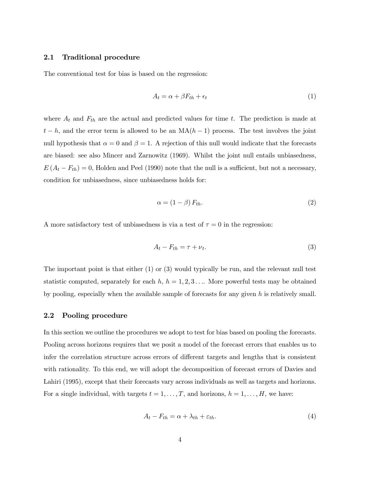### 2.1 Traditional procedure

The conventional test for bias is based on the regression:

$$
A_t = \alpha + \beta F_{th} + \epsilon_t \tag{1}
$$

where  $A_t$  and  $F_{th}$  are the actual and predicted values for time t. The prediction is made at  $t-h$ , and the error term is allowed to be an  $MA(h-1)$  process. The test involves the joint null hypothesis that  $\alpha = 0$  and  $\beta = 1$ . A rejection of this null would indicate that the forecasts are biased: see also Mincer and Zarnowitz (1969). Whilst the joint null entails unbiasedness,  $E(A_t - F_{th})=0$ , Holden and Peel (1990) note that the null is a sufficient, but not a necessary, condition for unbiasedness, since unbiasedness holds for:

$$
\alpha = (1 - \beta) F_{th}.
$$
 (2)

A more satisfactory test of unbiasedness is via a test of  $\tau = 0$  in the regression:

$$
A_t - F_{th} = \tau + \nu_t. \tag{3}
$$

The important point is that either  $(1)$  or  $(3)$  would typically be run, and the relevant null test statistic computed, separately for each  $h, h = 1, 2, 3, \ldots$  More powerful tests may be obtained by pooling, especially when the available sample of forecasts for any given  $h$  is relatively small.

#### 2.2 Pooling procedure

In this section we outline the procedures we adopt to test for bias based on pooling the forecasts. Pooling across horizons requires that we posit a model of the forecast errors that enables us to infer the correlation structure across errors of different targets and lengths that is consistent with rationality. To this end, we will adopt the decomposition of forecast errors of Davies and Lahiri (1995), except that their forecasts vary across individuals as well as targets and horizons. For a single individual, with targets  $t = 1, \ldots, T$ , and horizons,  $h = 1, \ldots, H$ , we have:

$$
A_t - F_{th} = \alpha + \lambda_{th} + \varepsilon_{th}.\tag{4}
$$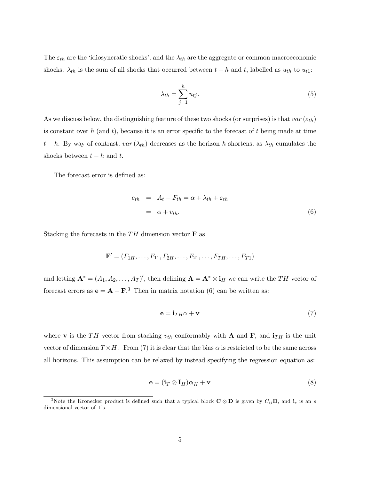The  $\varepsilon_{th}$  are the 'idiosyncratic shocks', and the  $\lambda_{th}$  are the aggregate or common macroeconomic shocks.  $\lambda_{th}$  is the sum of all shocks that occurred between  $t - h$  and t, labelled as  $u_{th}$  to  $u_{t1}$ :

$$
\lambda_{th} = \sum_{j=1}^{h} u_{tj}.\tag{5}
$$

As we discuss below, the distinguishing feature of these two shocks (or surprises) is that  $var(\varepsilon_{th})$ is constant over h (and t), because it is an error specific to the forecast of t being made at time t − h. By way of contrast,  $var(\lambda_{th})$  decreases as the horizon h shortens, as  $\lambda_{th}$  cumulates the shocks between  $t - h$  and  $t$ .

The forecast error is defined as:

$$
e_{th} = A_t - F_{th} = \alpha + \lambda_{th} + \varepsilon_{th}
$$
  
=  $\alpha + v_{th}$ . (6)

Stacking the forecasts in the  $TH$  dimension vector **F** as

$$
\mathbf{F}' = (F_{1H}, \ldots, F_{11}, F_{2H}, \ldots, F_{21}, \ldots, F_{TH}, \ldots, F_{T1})
$$

and letting  $\mathbf{A}^* = (A_1, A_2, \dots, A_T)'$ , then defining  $\mathbf{A} = \mathbf{A}^* \otimes \mathbf{i}_H$  we can write the TH vector of forecast errors as  $\mathbf{e} = \mathbf{A} - \mathbf{F}^{3}$  Then in matrix notation (6) can be written as:

$$
\mathbf{e} = \mathbf{i}_{TH}\alpha + \mathbf{v} \tag{7}
$$

where **v** is the TH vector from stacking  $v_{th}$  conformably with **A** and **F**, and  $\mathbf{i}_{TH}$  is the unit vector of dimension  $T \times H$ . From (7) it is clear that the bias  $\alpha$  is restricted to be the same across all horizons. This assumption can be relaxed by instead specifying the regression equation as:

$$
\mathbf{e} = (\mathbf{i}_T \otimes \mathbf{I}_H) \boldsymbol{\alpha}_H + \mathbf{v}
$$
 (8)

<sup>&</sup>lt;sup>3</sup>Note the Kronecker product is defined such that a typical block  $C \otimes D$  is given by  $C_{ij}D$ , and  $\mathbf{i}_s$  is an s dimensional vector of 1's.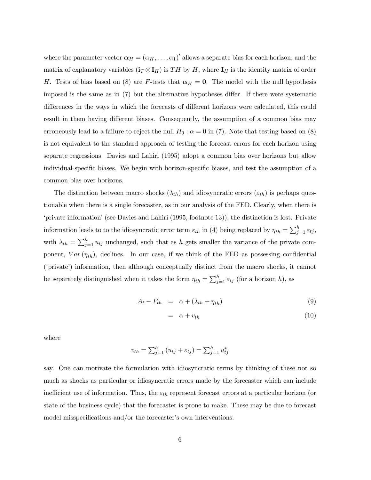where the parameter vector  $\boldsymbol{\alpha}_H = (\alpha_H, \dots, \alpha_1)'$  allows a separate bias for each horizon, and the matrix of explanatory variables  $(i_T \otimes I_H)$  is TH by H, where  $I_H$  is the identity matrix of order H. Tests of bias based on (8) are F-tests that  $\alpha_H = 0$ . The model with the null hypothesis imposed is the same as in (7) but the alternative hypotheses differ. If there were systematic differences in the ways in which the forecasts of different horizons were calculated, this could result in them having different biases. Consequently, the assumption of a common bias may erroneously lead to a failure to reject the null  $H_0$ :  $\alpha = 0$  in (7). Note that testing based on (8) is not equivalent to the standard approach of testing the forecast errors for each horizon using separate regressions. Davies and Lahiri (1995) adopt a common bias over horizons but allow individual-specific biases. We begin with horizon-specific biases, and test the assumption of a common bias over horizons.

The distinction between macro shocks  $(\lambda_{th})$  and idiosyncratic errors  $(\varepsilon_{th})$  is perhaps questionable when there is a single forecaster, as in our analysis of the FED. Clearly, when there is 'private information' (see Davies and Lahiri (1995, footnote 13)), the distinction is lost. Private information leads to to the idiosyncratic error term  $\varepsilon_{th}$  in (4) being replaced by  $\eta_{th} = \sum_{j=1}^{h} \varepsilon_{tj}$ , with  $\lambda_{th} = \sum_{j=1}^{h} u_{tj}$  unchanged, such that as h gets smaller the variance of the private component,  $Var(\eta_{th})$ , declines. In our case, if we think of the FED as possessing confidential ('private') information, then although conceptually distinct from the macro shocks, it cannot be separately distinguished when it takes the form  $\eta_{th} = \sum_{j=1}^{h} \varepsilon_{tj}$  (for a horizon h), as

$$
A_t - F_{th} = \alpha + (\lambda_{th} + \eta_{th}) \tag{9}
$$

$$
= \alpha + v_{th} \tag{10}
$$

where

$$
v_{th} = \sum_{j=1}^{h} (u_{tj} + \varepsilon_{tj}) = \sum_{j=1}^{h} u_{tj}^{*}
$$

say. One can motivate the formulation with idiosyncratic terms by thinking of these not so much as shocks as particular or idiosyncratic errors made by the forecaster which can include inefficient use of information. Thus, the  $\varepsilon_{th}$  represent forecast errors at a particular horizon (or state of the business cycle) that the forecaster is prone to make. These may be due to forecast model misspecifications and/or the forecaster's own interventions.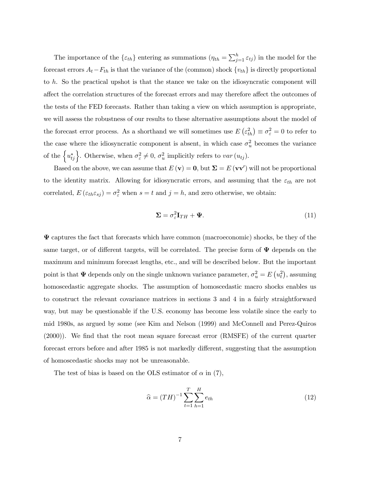The importance of the  $\{\varepsilon_{th}\}$  entering as summations  $(\eta_{th} = \sum_{j=1}^{h} \varepsilon_{tj})$  in the model for the forecast errors  $A_t-F_{th}$  is that the variance of the (common) shock  $\{v_{th}\}\$ is directly proportional to h. So the practical upshot is that the stance we take on the idiosyncratic component will affect the correlation structures of the forecast errors and may therefore affect the outcomes of the tests of the FED forecasts. Rather than taking a view on which assumption is appropriate, we will assess the robustness of our results to these alternative assumptions about the model of the forecast error process. As a shorthand we will sometimes use  $E\left(\varepsilon_{th}^2\right) \equiv \sigma_{\varepsilon}^2 = 0$  to refer to the case where the idiosyncratic component is absent, in which case  $\sigma_u^2$  becomes the variance of the  $\{u_{tj}^*\}$ . Otherwise, when  $\sigma_{\varepsilon}^2 \neq 0$ ,  $\sigma_u^2$  implicitly refers to var  $(u_{tj})$ .

Based on the above, we can assume that  $E(\mathbf{v}) = \mathbf{0}$ , but  $\mathbf{\Sigma} = E(\mathbf{v}\mathbf{v}')$  will not be proportional to the identity matrix. Allowing for idiosyncratic errors, and assuming that the  $\varepsilon_{th}$  are not correlated,  $E(\varepsilon_{th}\varepsilon_{sj}) = \sigma_{\varepsilon}^2$  when  $s = t$  and  $j = h$ , and zero otherwise, we obtain:

$$
\Sigma = \sigma_{\varepsilon}^2 \mathbf{I}_{TH} + \Psi. \tag{11}
$$

 $\Psi$  captures the fact that forecasts which have common (macroeconomic) shocks, be they of the same target, or of different targets, will be correlated. The precise form of  $\Psi$  depends on the maximum and minimum forecast lengths, etc., and will be described below. But the important point is that  $\Psi$  depends only on the single unknown variance parameter,  $\sigma_u^2 = E(u_t^2)$ , assuming homoscedastic aggregate shocks. The assumption of homoscedastic macro shocks enables us to construct the relevant covariance matrices in sections 3 and 4 in a fairly straightforward way, but may be questionable if the U.S. economy has become less volatile since the early to mid 1980s, as argued by some (see Kim and Nelson (1999) and McConnell and Perez-Quiros (2000)). We find that the root mean square forecast error (RMSFE) of the current quarter forecast errors before and after 1985 is not markedly different, suggesting that the assumption of homoscedastic shocks may not be unreasonable.

The test of bias is based on the OLS estimator of  $\alpha$  in (7),

$$
\hat{\alpha} = (TH)^{-1} \sum_{t=1}^{T} \sum_{h=1}^{H} e_{th}
$$
\n(12)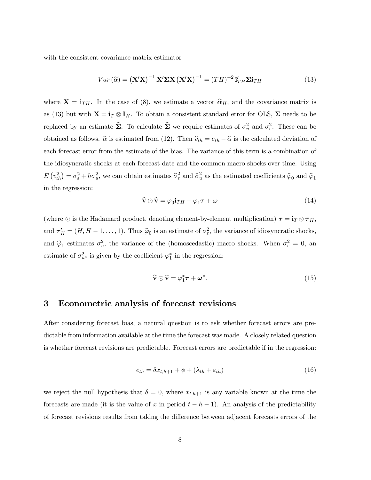with the consistent covariance matrix estimator

$$
Var\left(\widehat{\alpha}\right) = \left(\mathbf{X}'\mathbf{X}\right)^{-1}\mathbf{X}'\mathbf{\Sigma}\mathbf{X}\left(\mathbf{X}'\mathbf{X}\right)^{-1} = \left(TH\right)^{-2}\mathbf{i}'_{TH}\mathbf{\Sigma}\mathbf{i}_{TH}
$$
\n(13)

where  $X = i_{TH}$ . In the case of (8), we estimate a vector  $\hat{\alpha}_H$ , and the covariance matrix is as (13) but with  $X = i_T \otimes I_H$ . To obtain a consistent standard error for OLS,  $\Sigma$  needs to be replaced by an estimate  $\hat{\Sigma}$ . To calculate  $\hat{\Sigma}$  we require estimates of  $\sigma_u^2$  and  $\sigma_{\varepsilon}^2$ . These can be obtained as follows.  $\hat{\alpha}$  is estimated from (12). Then  $\hat{v}_{th} = e_{th} - \hat{\alpha}$  is the calculated deviation of each forecast error from the estimate of the bias. The variance of this term is a combination of the idiosyncratic shocks at each forecast date and the common macro shocks over time. Using  $E(v_{th}^2) = \sigma_{\varepsilon}^2 + h\sigma_u^2$ , we can obtain estimates  $\hat{\sigma}_{\varepsilon}^2$  and  $\hat{\sigma}_u^2$  as the estimated coefficients  $\hat{\varphi}_0$  and  $\hat{\varphi}_1$ in the regression:

$$
\widehat{\mathbf{v}} \odot \widehat{\mathbf{v}} = \varphi_0 \mathbf{i}_{TH} + \varphi_1 \boldsymbol{\tau} + \boldsymbol{\omega}
$$
\n(14)

(where  $\odot$  is the Hadamard product, denoting element-by-element multiplication)  $\tau = i_T \otimes \tau_H$ , and  $\tau'_H = (H, H-1, \ldots, 1)$ . Thus  $\hat{\varphi}_0$  is an estimate of  $\sigma_\varepsilon^2$ , the variance of idiosyncratic shocks, and  $\hat{\varphi}_1$  estimates  $\sigma_u^2$ , the variance of the (homoscedastic) macro shocks. When  $\sigma_{\varepsilon}^2 = 0$ , and estimate of  $\sigma_{u^*}^2$  is given by the coefficient  $\varphi_1^*$  in the regression:

$$
\widehat{\mathbf{v}} \odot \widehat{\mathbf{v}} = \varphi_1^* \boldsymbol{\tau} + \boldsymbol{\omega}^* . \tag{15}
$$

## 3 Econometric analysis of forecast revisions

After considering forecast bias, a natural question is to ask whether forecast errors are predictable from information available at the time the forecast was made. A closely related question is whether forecast revisions are predictable. Forecast errors are predictable if in the regression:

$$
e_{th} = \delta x_{t,h+1} + \phi + (\lambda_{th} + \varepsilon_{th})
$$
\n<sup>(16)</sup>

we reject the null hypothesis that  $\delta = 0$ , where  $x_{t,h+1}$  is any variable known at the time the forecasts are made (it is the value of x in period  $t - h - 1$ ). An analysis of the predictability of forecast revisions results from taking the difference between adjacent forecasts errors of the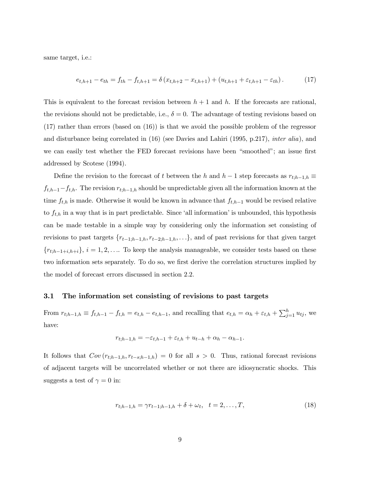same target, i.e.:

$$
e_{t,h+1} - e_{th} = f_{th} - f_{t,h+1} = \delta (x_{t,h+2} - x_{t,h+1}) + (u_{t,h+1} + \varepsilon_{t,h+1} - \varepsilon_{th}). \tag{17}
$$

This is equivalent to the forecast revision between  $h + 1$  and h. If the forecasts are rational, the revisions should not be predictable, i.e.,  $\delta = 0$ . The advantage of testing revisions based on (17) rather than errors (based on (16)) is that we avoid the possible problem of the regressor and disturbance being correlated in (16) (see Davies and Lahiri (1995, p.217), inter alia), and we can easily test whether the FED forecast revisions have been "smoothed"; an issue first addressed by Scotese (1994).

Define the revision to the forecast of t between the h and h − 1 step forecasts as  $r_{t;h-1,h} \equiv$  $f_{t,h-1}-f_{t,h}$ . The revision  $r_{t,h-1,h}$  should be unpredictable given all the information known at the time  $f_{t,h}$  is made. Otherwise it would be known in advance that  $f_{t,h-1}$  would be revised relative to  $f_{t,h}$  in a way that is in part predictable. Since 'all information' is unbounded, this hypothesis can be made testable in a simple way by considering only the information set consisting of revisions to past targets  $\{r_{t-1,h}, r_{t-2,h-1,h},\ldots\}$ , and of past revisions for that given target  ${r_{t;h-1+i,h+i}}$ ,  $i = 1, 2, \ldots$  To keep the analysis manageable, we consider tests based on these two information sets separately. To do so, we first derive the correlation structures implied by the model of forecast errors discussed in section 2.2.

#### 3.1 The information set consisting of revisions to past targets

From  $r_{t,h-1,h} \equiv f_{t,h-1} - f_{t,h} = e_{t,h} - e_{t,h-1}$ , and recalling that  $e_{t,h} = \alpha_h + \varepsilon_{t,h} + \sum_{j=1}^h u_{tj}$ , we have:

$$
r_{t,h-1,h} = -\varepsilon_{t,h-1} + \varepsilon_{t,h} + u_{t-h} + \alpha_h - \alpha_{h-1}.
$$

It follows that  $Cov(r_{t;h-1,h}, r_{t-s;h-1,h})=0$  for all  $s > 0$ . Thus, rational forecast revisions of adjacent targets will be uncorrelated whether or not there are idiosyncratic shocks. This suggests a test of  $\gamma = 0$  in:

$$
r_{t,h-1,h} = \gamma r_{t-1,h-1,h} + \delta + \omega_t, \quad t = 2,\dots,T,
$$
\n(18)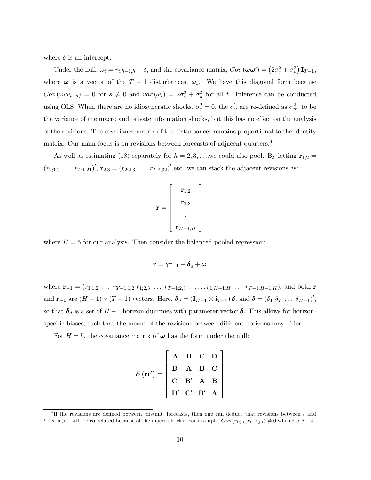where  $\delta$  is an intercept.

Under the null,  $\omega_t = r_{t;h-1,h} - \delta$ , and the covariance matrix,  $Cov(\omega \omega') = (2\sigma_{\varepsilon}^2 + \sigma_u^2) \mathbf{I}_{T-1}$ , where  $\omega$  is a vector of the T − 1 disturbances,  $\omega_t$ . We have this diagonal form because  $Cov(\omega_t \omega_{t-s}) = 0$  for  $s \neq 0$  and  $var(\omega_t) = 2\sigma_{\varepsilon}^2 + \sigma_u^2$  for all t. Inference can be conducted using OLS. When there are no idiosyncratic shocks,  $\sigma_{\varepsilon}^2 = 0$ , the  $\sigma_u^2$  are re-defined as  $\sigma_{u^*}^2$  to be the variance of the macro and private information shocks, but this has no effect on the analysis of the revisions. The covariance matrix of the disturbances remains proportional to the identity matrix. Our main focus is on revisions between forecasts of adjacent quarters.<sup>4</sup>

As well as estimating (18) separately for  $h = 2, 3, \ldots$ , we could also pool. By letting  $\mathbf{r}_{1,2} =$  $(r_{2,1,2} \ldots r_{T,1,21})'$ ,  $\mathbf{r}_{2,3} = (r_{2,2,3} \ldots r_{T,2,32})'$  etc. we can stack the adjacent revisions as:

$$
\mathbf{r} = \left[ \begin{array}{c} \mathbf{r}_{1,2} \\ \mathbf{r}_{2,3} \\ \vdots \\ \mathbf{r}_{H-1,H} \end{array} \right]
$$

where  $H = 5$  for our analysis. Then consider the balanced pooled regression:

$$
\mathbf{r} = \gamma \mathbf{r}_{-1} + \boldsymbol{\delta}_d + \boldsymbol{\omega}
$$

where  $\mathbf{r}_{-1} = (r_{1,1,2} \ldots r_{T-1,1,2} r_{1,2,3} \ldots r_{T-1,2,3} \ldots r_{1:H-1,H} \ldots r_{T-1,H-1,H}),$  and both **r** and  $\mathbf{r}_{-1}$  are  $(H-1) \times (T-1)$  vectors. Here,  $\boldsymbol{\delta}_d = (\mathbf{I}_{H-1} \otimes \mathbf{i}_{T-1}) \boldsymbol{\delta}$ , and  $\boldsymbol{\delta} = (\delta_1 \delta_2 \dots \delta_{H-1})'$ , so that  $\delta_d$  is a set of  $H-1$  horizon dummies with parameter vector  $\delta$ . This allows for horizonspecific biases, such that the means of the revisions between different horizons may differ.

For  $H = 5$ , the covariance matrix of  $\omega$  has the form under the null:

|                                                                                                                                                 | ${\bf A}$     |  | $\begin{array}{ccc} B & C & D \end{array}$                                                                                                                |  |
|-------------------------------------------------------------------------------------------------------------------------------------------------|---------------|--|-----------------------------------------------------------------------------------------------------------------------------------------------------------|--|
| $E(\mathbf{r}\mathbf{r}^{\prime})=% {\displaystyle\sum\limits_{i}} \left( \mathbf{r}_{i}\mathbf{r}_{i}^{\prime}\right) \mathbf{r}_{i}^{\prime}$ |               |  | $\left. \begin{array}{ccc} \mathrm{B}' & \mathrm{A} & \mathrm{B} & \mathrm{C} \\ \mathrm{C}' & \mathrm{B}' & \mathrm{A} & \mathrm{B} \end{array} \right $ |  |
|                                                                                                                                                 |               |  |                                                                                                                                                           |  |
|                                                                                                                                                 | $\mathbf{D}'$ |  | $\mathbf{C}'$ $\mathbf{B}'$ $\mathbf{A}$ $\Big\rfloor$                                                                                                    |  |

<sup>&</sup>lt;sup>4</sup>If the revisions are defined between 'distant' forecasts, then one can deduce that revisions between t and  $t-s, s > 1$  will be correlated because of the macro shocks. For example,  $Cov(r_{t,j,i}, r_{t-2,j,i}) \neq 0$  when  $i > j+2$ .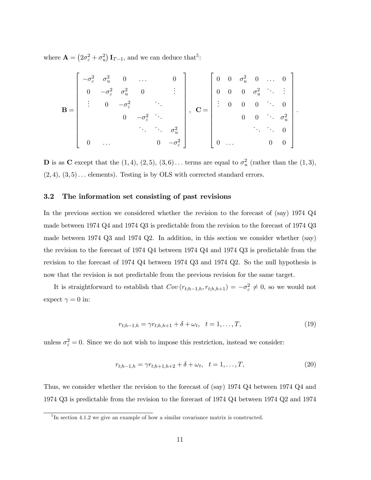where  $\mathbf{A} = (2\sigma_{\varepsilon}^2 + \sigma_u^2) \mathbf{I}_{T-1}$ , and we can deduce that<sup>5</sup>:

$$
\mathbf{B} = \begin{bmatrix} -\sigma_{\varepsilon}^{2} & \sigma_{u}^{2} & 0 & \dots & 0 \\ 0 & -\sigma_{\varepsilon}^{2} & \sigma_{u}^{2} & 0 & \vdots \\ \vdots & 0 & -\sigma_{\varepsilon}^{2} & \ddots & \\ & & 0 & -\sigma_{\varepsilon}^{2} & \ddots \\ & & & \ddots & \ddots & \sigma_{u}^{2} \\ 0 & \dots & 0 & -\sigma_{\varepsilon}^{2} \end{bmatrix}, \quad \mathbf{C} = \begin{bmatrix} 0 & 0 & \sigma_{u}^{2} & 0 & \dots & 0 \\ 0 & 0 & 0 & \sigma_{u}^{2} & \ddots & \vdots \\ \vdots & 0 & 0 & 0 & \ddots & 0 \\ 0 & 0 & \ddots & \sigma_{u}^{2} & \ddots & \ddots & 0 \\ & & & & \ddots & \ddots & 0 \\ 0 & \dots & 0 & 0 & 0 \end{bmatrix}.
$$

**D** is as **C** except that the  $(1, 4)$ ,  $(2, 5)$ ,  $(3, 6)$ ... terms are equal to  $\sigma_u^2$  (rather than the  $(1, 3)$ ,  $(2, 4), (3, 5) \ldots$  elements). Testing is by OLS with corrected standard errors.

## 3.2 The information set consisting of past revisions

In the previous section we considered whether the revision to the forecast of (say) 1974 Q4 made between 1974 Q4 and 1974 Q3 is predictable from the revision to the forecast of 1974 Q3 made between 1974 Q3 and 1974 Q2. In addition, in this section we consider whether (say) the revision to the forecast of 1974 Q4 between 1974 Q4 and 1974 Q3 is predictable from the revision to the forecast of 1974 Q4 between 1974 Q3 and 1974 Q2. So the null hypothesis is now that the revision is not predictable from the previous revision for the same target.

It is straightforward to establish that  $Cov(r_{t;h-1,h}, r_{t;h,h+1}) = -\sigma_{\varepsilon}^2 \neq 0$ , so we would not expect  $\gamma = 0$  in:

$$
r_{t;h-1,h} = \gamma r_{t;h,h+1} + \delta + \omega_t, \quad t = 1, \dots, T,
$$
\n(19)

unless  $\sigma_{\varepsilon}^2 = 0$ . Since we do not wish to impose this restriction, instead we consider:

$$
r_{t,h-1,h} = \gamma r_{t,h+1,h+2} + \delta + \omega_t, \quad t = 1,\dots,T,
$$
\n(20)

Thus, we consider whether the revision to the forecast of (say) 1974 Q4 between 1974 Q4 and 1974 Q3 is predictable from the revision to the forecast of 1974 Q4 between 1974 Q2 and 1974

 ${}^{5}$ In section 4.1.2 we give an example of how a similar covariance matrix is constructed.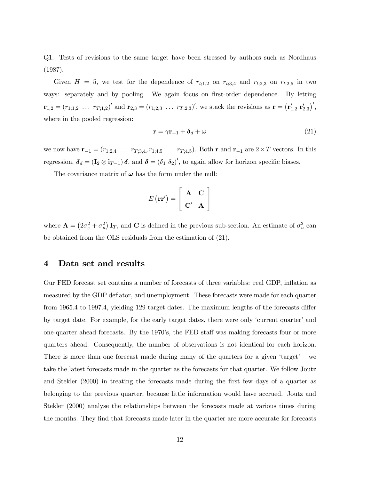Q1. Tests of revisions to the same target have been stressed by authors such as Nordhaus (1987).

Given  $H = 5$ , we test for the dependence of  $r_{t;1,2}$  on  $r_{t;3,4}$  and  $r_{t;2,3}$  on  $r_{t;2,5}$  in two ways: separately and by pooling. We again focus on first-order dependence. By letting  $\mathbf{r}_{1,2} = (r_{1,1,2} \ldots r_{T,1,2})'$  and  $\mathbf{r}_{2,3} = (r_{1,2,3} \ldots r_{T,2,3})'$ , we stack the revisions as  $\mathbf{r} = (\mathbf{r}'_{1,2} \ \mathbf{r}'_{2,3})'$ , where in the pooled regression:

$$
\mathbf{r} = \gamma \mathbf{r}_{-1} + \boldsymbol{\delta}_d + \boldsymbol{\omega} \tag{21}
$$

we now have  $\mathbf{r}_{-1} = (r_{1,2,4} \ldots r_{T,3,4}, r_{1,4,5} \ldots r_{T,4,5})$ . Both r and  $\mathbf{r}_{-1}$  are  $2 \times T$  vectors. In this regression,  $\boldsymbol{\delta}_d = (\mathbf{I}_2 \otimes \mathbf{i}_{T-1}) \boldsymbol{\delta}$ , and  $\boldsymbol{\delta} = (\delta_1 \delta_2)'$ , to again allow for horizon specific biases.

The covariance matrix of  $\omega$  has the form under the null:

$$
E(\mathbf{r}\mathbf{r}') = \left[\begin{array}{cc} \mathbf{A} & \mathbf{C} \\ \mathbf{C}' & \mathbf{A} \end{array}\right]
$$

where  $\mathbf{A} = (2\sigma_{\varepsilon}^2 + \sigma_u^2) \mathbf{I}_T$ , and **C** is defined in the previous sub-section. An estimate of  $\sigma_u^2$  can be obtained from the OLS residuals from the estimation of (21).

## 4 Data set and results

Our FED forecast set contains a number of forecasts of three variables: real GDP, inflation as measured by the GDP deflator, and unemployment. These forecasts were made for each quarter from 1965.4 to 1997.4, yielding 129 target dates. The maximum lengths of the forecasts differ by target date. For example, for the early target dates, there were only 'current quarter' and one-quarter ahead forecasts. By the 1970's, the FED staff was making forecasts four or more quarters ahead. Consequently, the number of observations is not identical for each horizon. There is more than one forecast made during many of the quarters for a given 'target' – we take the latest forecasts made in the quarter as the forecasts for that quarter. We follow Joutz and Stekler (2000) in treating the forecasts made during the first few days of a quarter as belonging to the previous quarter, because little information would have accrued. Joutz and Stekler (2000) analyse the relationships between the forecasts made at various times during the months. They find that forecasts made later in the quarter are more accurate for forecasts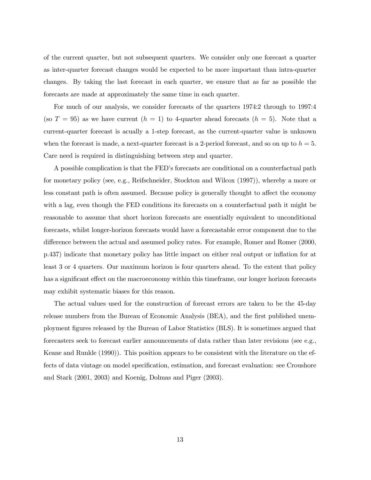of the current quarter, but not subsequent quarters. We consider only one forecast a quarter as inter-quarter forecast changes would be expected to be more important than intra-quarter changes. By taking the last forecast in each quarter, we ensure that as far as possible the forecasts are made at approximately the same time in each quarter.

For much of our analysis, we consider forecasts of the quarters 1974:2 through to 1997:4 (so  $T = 95$ ) as we have current  $(h = 1)$  to 4-quarter ahead forecasts  $(h = 5)$ . Note that a current-quarter forecast is acually a 1-step forecast, as the current-quarter value is unknown when the forecast is made, a next-quarter forecast is a 2-period forecast, and so on up to  $h = 5$ . Care need is required in distinguishing between step and quarter.

A possible complication is that the FED's forecasts are conditional on a counterfactual path for monetary policy (see, e.g., Reifschneider, Stockton and Wilcox (1997)), whereby a more or less constant path is often assumed. Because policy is generally thought to affect the economy with a lag, even though the FED conditions its forecasts on a counterfactual path it might be reasonable to assume that short horizon forecasts are essentially equivalent to unconditional forecasts, whilst longer-horizon forecasts would have a forecastable error component due to the difference between the actual and assumed policy rates. For example, Romer and Romer (2000, p.437) indicate that monetary policy has little impact on either real output or inflation for at least 3 or 4 quarters. Our maximum horizon is four quarters ahead. To the extent that policy has a significant effect on the macroeconomy within this timeframe, our longer horizon forecasts may exhibit systematic biases for this reason.

The actual values used for the construction of forecast errors are taken to be the 45-day release numbers from the Bureau of Economic Analysis (BEA), and the first published unemployment figures released by the Bureau of Labor Statistics (BLS). It is sometimes argued that forecasters seek to forecast earlier announcements of data rather than later revisions (see e.g., Keane and Runkle (1990)). This position appears to be consistent with the literature on the effects of data vintage on model specification, estimation, and forecast evaluation: see Croushore and Stark (2001, 2003) and Koenig, Dolmas and Piger (2003).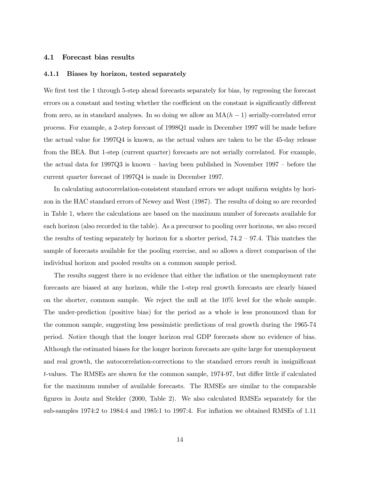#### 4.1 Forecast bias results

#### 4.1.1 Biases by horizon, tested separately

We first test the 1 through 5-step ahead forecasts separately for bias, by regressing the forecast errors on a constant and testing whether the coefficient on the constant is significantly different from zero, as in standard analyses. In so doing we allow an  $MA(h - 1)$  serially-correlated error process. For example, a 2-step forecast of 1998Q1 made in December 1997 will be made before the actual value for 1997Q4 is known, as the actual values are taken to be the 45-day release from the BEA. But 1-step (current quarter) forecasts are not serially correlated. For example, the actual data for 1997Q3 is known — having been published in November 1997 — before the current quarter forecast of 1997Q4 is made in December 1997.

In calculating autocorrelation-consistent standard errors we adopt uniform weights by horizon in the HAC standard errors of Newey and West (1987). The results of doing so are recorded in Table 1, where the calculations are based on the maximum number of forecasts available for each horizon (also recorded in the table). As a precursor to pooling over horizons, we also record the results of testing separately by horizon for a shorter period,  $74.2 - 97.4$ . This matches the sample of forecasts available for the pooling exercise, and so allows a direct comparison of the individual horizon and pooled results on a common sample period.

The results suggest there is no evidence that either the inflation or the unemployment rate forecasts are biased at any horizon, while the 1-step real growth forecasts are clearly biased on the shorter, common sample. We reject the null at the 10% level for the whole sample. The under-prediction (positive bias) for the period as a whole is less pronounced than for the common sample, suggesting less pessimistic predictions of real growth during the 1965-74 period. Notice though that the longer horizon real GDP forecasts show no evidence of bias. Although the estimated biases for the longer horizon forecasts are quite large for unemployment and real growth, the autocorrelation-corrections to the standard errors result in insignificant t-values. The RMSEs are shown for the common sample, 1974-97, but differ little if calculated for the maximum number of available forecasts. The RMSEs are similar to the comparable figures in Joutz and Stekler (2000, Table 2). We also calculated RMSEs separately for the sub-samples 1974:2 to 1984:4 and 1985:1 to 1997:4. For inflation we obtained RMSEs of 1.11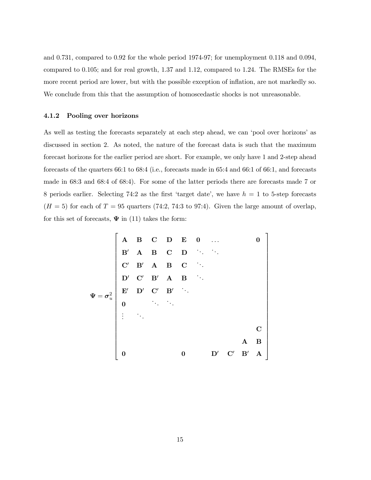and 0.731, compared to 0.92 for the whole period 1974-97; for unemployment 0.118 and 0.094, compared to 0.105; and for real growth, 1.37 and 1.12, compared to 1.24. The RMSEs for the more recent period are lower, but with the possible exception of inflation, are not markedly so. We conclude from this that the assumption of homoscedastic shocks is not unreasonable.

## 4.1.2 Pooling over horizons

As well as testing the forecasts separately at each step ahead, we can 'pool over horizons' as discussed in section 2. As noted, the nature of the forecast data is such that the maximum forecast horizons for the earlier period are short. For example, we only have 1 and 2-step ahead forecasts of the quarters 66:1 to 68:4 (i.e., forecasts made in 65:4 and 66:1 of 66:1, and forecasts made in 68:3 and 68:4 of 68:4). For some of the latter periods there are forecasts made 7 or 8 periods earlier. Selecting 74:2 as the first 'target date', we have  $h = 1$  to 5-step forecasts  $(H = 5)$  for each of  $T = 95$  quarters (74:2, 74:3 to 97:4). Given the large amount of overlap, for this set of forecasts,  $\Psi$  in (11) takes the form:

$$
\Psi = \sigma_u^2
$$
\n

| A  | B  | C  | D | B  | C  | D  | D |
|----|----|----|---|----|----|----|---|
| B' | A  | B  | C | D  | D  | D  |   |
| C' | B' | A  | B | D  | D  |    |   |
| D' | C' | B' | A | B  | B  |    |   |
| 0  | 0  | 0  | 0 | D' | C' | B' | A |

\n0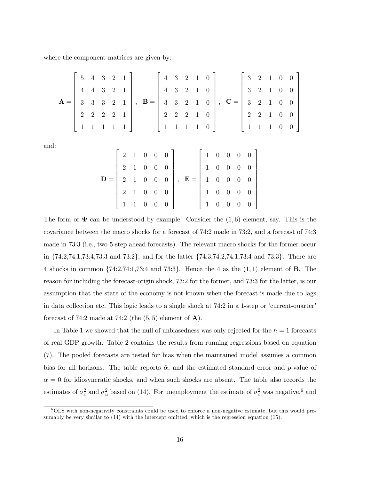where the component matrices are given by:

|      | $\mathbf{A} = \left[ \begin{array}{cccccc} 5 & 4 & 3 & 2 & 1 \\ 4 & 4 & 3 & 2 & 1 \\ 3 & 3 & 3 & 2 & 1 \\ 2 & 2 & 2 & 2 & 1 \\ 1 & 1 & 1 & 1 & 1 \end{array} \right], \quad \mathbf{B} = \left[ \begin{array}{cccccc} 4 & 3 & 2 & 1 & 0 \\ 4 & 3 & 2 & 1 & 0 \\ 3 & 3 & 2 & 1 & 0 \\ 2 & 2 & 2 & 1 & 0 \\ 1 & 1 & 1 & 1 & 0 \end{array} \right], \quad \mathbf{C} = \left[ \begin{array}{cccc$ |  |  |  |                                                                                                                                                                                                                                                                                                                                              |  |  |  |  |  |  |  |
|------|------------------------------------------------------------------------------------------------------------------------------------------------------------------------------------------------------------------------------------------------------------------------------------------------------------------------------------------------------------------------------------------------|--|--|--|----------------------------------------------------------------------------------------------------------------------------------------------------------------------------------------------------------------------------------------------------------------------------------------------------------------------------------------------|--|--|--|--|--|--|--|
| and: |                                                                                                                                                                                                                                                                                                                                                                                                |  |  |  |                                                                                                                                                                                                                                                                                                                                              |  |  |  |  |  |  |  |
|      |                                                                                                                                                                                                                                                                                                                                                                                                |  |  |  |                                                                                                                                                                                                                                                                                                                                              |  |  |  |  |  |  |  |
|      |                                                                                                                                                                                                                                                                                                                                                                                                |  |  |  |                                                                                                                                                                                                                                                                                                                                              |  |  |  |  |  |  |  |
|      |                                                                                                                                                                                                                                                                                                                                                                                                |  |  |  |                                                                                                                                                                                                                                                                                                                                              |  |  |  |  |  |  |  |
|      |                                                                                                                                                                                                                                                                                                                                                                                                |  |  |  | $\mathbf{D} = \left[ \begin{array}{cccc} 2 & 1 & 0 & 0 & 0 \\ 2 & 1 & 0 & 0 & 0 \\ 2 & 1 & 0 & 0 & 0 \\ 2 & 1 & 0 & 0 & 0 \\ 1 & 1 & 0 & 0 & 0 \end{array} \right], \quad \mathbf{E} = \left[ \begin{array}{cccc} 1 & 0 & 0 & 0 & 0 \\ 1 & 0 & 0 & 0 & 0 \\ 1 & 0 & 0 & 0 & 0 \\ 1 & 0 & 0 & 0 & 0 \\ 1 & 0 & 0 & 0 & 0 \end{array} \right]$ |  |  |  |  |  |  |  |
|      |                                                                                                                                                                                                                                                                                                                                                                                                |  |  |  |                                                                                                                                                                                                                                                                                                                                              |  |  |  |  |  |  |  |

The form of  $\Psi$  can be understood by example. Consider the  $(1, 6)$  element, say. This is the covariance between the macro shocks for a forecast of 74:2 made in 73:2, and a forecast of 74:3 made in 73:3 (i.e., two 5-step ahead forecasts). The relevant macro shocks for the former occur in {74:2,74:1,73:4,73:3 and 73:2}, and for the latter {74:3,74:2,74:1,73:4 and 73:3}. There are 4 shocks in common  $\{74:2,74:1,73:4 \text{ and } 73:3\}$ . Hence the 4 as the  $(1,1)$  element of **B**. The reason for including the forecast-origin shock, 73:2 for the former, and 73:3 for the latter, is our assumption that the state of the economy is not known when the forecast is made due to lags in data collection etc. This logic leads to a single shock at 74:2 in a 1-step or 'current-quarter' forecast of 74:2 made at 74:2 (the  $(5,5)$  element of  $\mathbf{A}$ ).

In Table 1 we showed that the null of unbiasedness was only rejected for the  $h = 1$  forecasts of real GDP growth. Table 2 contains the results from running regressions based on equation (7). The pooled forecasts are tested for bias when the maintained model assumes a common bias for all horizons. The table reports  $\hat{\alpha}$ , and the estimated standard error and p-value of  $\alpha = 0$  for idiosyncratic shocks, and when such shocks are absent. The table also records the estimates of  $\sigma_{\varepsilon}^2$  and  $\sigma_u^2$  based on (14). For unemployment the estimate of  $\sigma_{\varepsilon}^2$  was negative,<sup>6</sup> and

 $60LS$  with non-negativity constraints could be used to enforce a non-negative estimate, but this would presumably be very similar to (14) with the intercept omitted, which is the regression equation (15).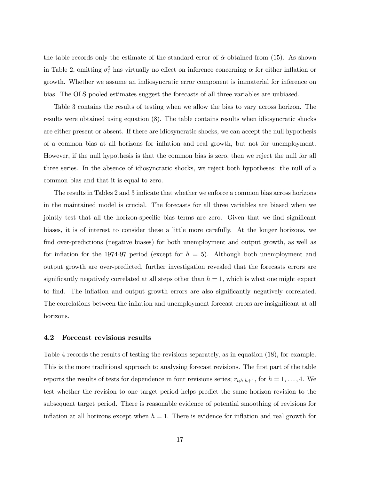the table records only the estimate of the standard error of  $\hat{\alpha}$  obtained from (15). As shown in Table 2, omitting  $\sigma_{\varepsilon}^2$  has virtually no effect on inference concerning  $\alpha$  for either inflation or growth. Whether we assume an indiosyncratic error component is immaterial for inference on bias. The OLS pooled estimates suggest the forecasts of all three variables are unbiased.

Table 3 contains the results of testing when we allow the bias to vary across horizon. The results were obtained using equation (8). The table contains results when idiosyncratic shocks are either present or absent. If there are idiosyncratic shocks, we can accept the null hypothesis of a common bias at all horizons for inflation and real growth, but not for unemployment. However, if the null hypothesis is that the common bias is zero, then we reject the null for all three series. In the absence of idiosyncratic shocks, we reject both hypotheses: the null of a common bias and that it is equal to zero.

The results in Tables 2 and 3 indicate that whether we enforce a common bias across horizons in the maintained model is crucial. The forecasts for all three variables are biased when we jointly test that all the horizon-specific bias terms are zero. Given that we find significant biases, it is of interest to consider these a little more carefully. At the longer horizons, we find over-predictions (negative biases) for both unemployment and output growth, as well as for inflation for the 1974-97 period (except for  $h = 5$ ). Although both unemployment and output growth are over-predicted, further investigation revealed that the forecasts errors are significantly negatively correlated at all steps other than  $h = 1$ , which is what one might expect to find. The inflation and output growth errors are also significantly negatively correlated. The correlations between the inflation and unemployment forecast errors are insignificant at all horizons.

### 4.2 Forecast revisions results

Table 4 records the results of testing the revisions separately, as in equation (18), for example. This is the more traditional approach to analysing forecast revisions. The first part of the table reports the results of tests for dependence in four revisions series;  $r_{t,h,h+1}$ , for  $h = 1,\ldots, 4$ . We test whether the revision to one target period helps predict the same horizon revision to the subsequent target period. There is reasonable evidence of potential smoothing of revisions for inflation at all horizons except when  $h = 1$ . There is evidence for inflation and real growth for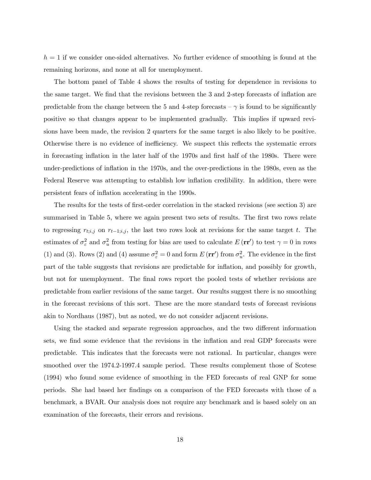$h = 1$  if we consider one-sided alternatives. No further evidence of smoothing is found at the remaining horizons, and none at all for unemployment.

The bottom panel of Table 4 shows the results of testing for dependence in revisions to the same target. We find that the revisions between the 3 and 2-step forecasts of inflation are predictable from the change between the 5 and 4-step forecasts  $-\gamma$  is found to be significantly positive so that changes appear to be implemented gradually. This implies if upward revisions have been made, the revision 2 quarters for the same target is also likely to be positive. Otherwise there is no evidence of inefficiency. We suspect this reflects the systematic errors in forecasting inflation in the later half of the 1970s and first half of the 1980s. There were under-predictions of inflation in the 1970s, and the over-predictions in the 1980s, even as the Federal Reserve was attempting to establish low inflation credibility. In addition, there were persistent fears of inflation accelerating in the 1990s.

The results for the tests of first-order correlation in the stacked revisions (see section 3) are summarised in Table 5, where we again present two sets of results. The first two rows relate to regressing  $r_{t,i,j}$  on  $r_{t-1,i,j}$ , the last two rows look at revisions for the same target t. The estimates of  $\sigma_{\varepsilon}^2$  and  $\sigma_u^2$  from testing for bias are used to calculate  $E(\mathbf{rr}')$  to test  $\gamma = 0$  in rows (1) and (3). Rows (2) and (4) assume  $\sigma_{\varepsilon}^2 = 0$  and form  $E(\mathbf{rr}')$  from  $\sigma_u^2$ . The evidence in the first part of the table suggests that revisions are predictable for inflation, and possibly for growth, but not for unemployment. The final rows report the pooled tests of whether revisions are predictable from earlier revisions of the same target. Our results suggest there is no smoothing in the forecast revisions of this sort. These are the more standard tests of forecast revisions akin to Nordhaus (1987), but as noted, we do not consider adjacent revisions.

Using the stacked and separate regression approaches, and the two different information sets, we find some evidence that the revisions in the inflation and real GDP forecasts were predictable. This indicates that the forecasts were not rational. In particular, changes were smoothed over the 1974.2-1997.4 sample period. These results complement those of Scotese (1994) who found some evidence of smoothing in the FED forecasts of real GNP for some periods. She had based her findings on a comparison of the FED forecasts with those of a benchmark, a BVAR. Our analysis does not require any benchmark and is based solely on an examination of the forecasts, their errors and revisions.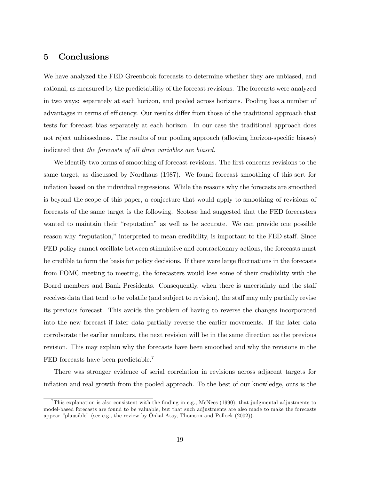## 5 Conclusions

We have analyzed the FED Greenbook forecasts to determine whether they are unbiased, and rational, as measured by the predictability of the forecast revisions. The forecasts were analyzed in two ways: separately at each horizon, and pooled across horizons. Pooling has a number of advantages in terms of efficiency. Our results differ from those of the traditional approach that tests for forecast bias separately at each horizon. In our case the traditional approach does not reject unbiasedness. The results of our pooling approach (allowing horizon-specific biases) indicated that the forecasts of all three variables are biased.

We identify two forms of smoothing of forecast revisions. The first concerns revisions to the same target, as discussed by Nordhaus (1987). We found forecast smoothing of this sort for inflation based on the individual regressions. While the reasons why the forecasts are smoothed is beyond the scope of this paper, a conjecture that would apply to smoothing of revisions of forecasts of the same target is the following. Scotese had suggested that the FED forecasters wanted to maintain their "reputation" as well as be accurate. We can provide one possible reason why "reputation," interpreted to mean credibility, is important to the FED staff. Since FED policy cannot oscillate between stimulative and contractionary actions, the forecasts must be credible to form the basis for policy decisions. If there were large fluctuations in the forecasts from FOMC meeting to meeting, the forecasters would lose some of their credibility with the Board members and Bank Presidents. Consequently, when there is uncertainty and the staff receives data that tend to be volatile (and subject to revision), the staff may only partially revise its previous forecast. This avoids the problem of having to reverse the changes incorporated into the new forecast if later data partially reverse the earlier movements. If the later data corroborate the earlier numbers, the next revision will be in the same direction as the previous revision. This may explain why the forecasts have been smoothed and why the revisions in the FED forecasts have been predictable.<sup>7</sup>

There was stronger evidence of serial correlation in revisions across adjacent targets for inflation and real growth from the pooled approach. To the best of our knowledge, ours is the

<sup>&</sup>lt;sup>7</sup>This explanation is also consistent with the finding in e.g., McNees (1990), that judgmental adjustments to model-based forecasts are found to be valuable, but that such adjustments are also made to make the forecasts appear "plausible" (see e.g., the review by Önkal-Atay, Thomson and Pollock (2002)).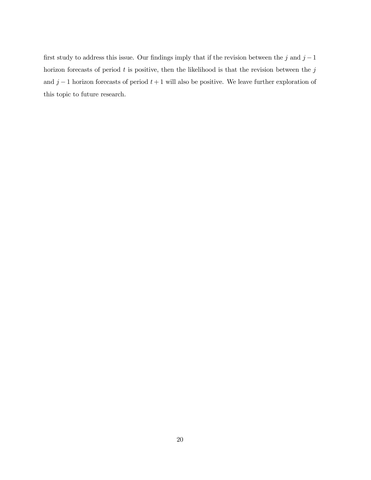first study to address this issue. Our findings imply that if the revision between the j and  $j-1$ horizon forecasts of period  $t$  is positive, then the likelihood is that the revision between the  $j$ and  $j-1$  horizon forecasts of period  $t+1$  will also be positive. We leave further exploration of this topic to future research.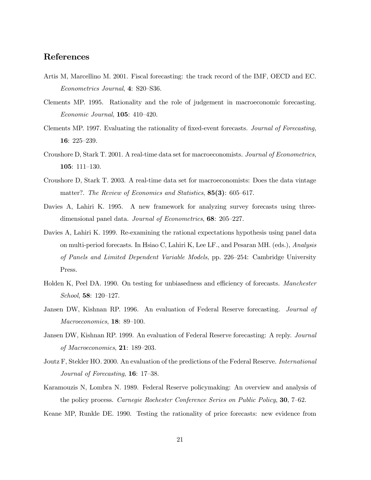## References

- Artis M, Marcellino M. 2001. Fiscal forecasting: the track record of the IMF, OECD and EC. Econometrics Journal, 4: S20—S36.
- Clements MP. 1995. Rationality and the role of judgement in macroeconomic forecasting. Economic Journal, 105: 410—420.
- Clements MP. 1997. Evaluating the rationality of fixed-event forecasts. Journal of Forecasting, 16: 225—239.
- Croushore D, Stark T. 2001. A real-time data set for macroeconomists. Journal of Econometrics, 105: 111—130.
- Croushore D, Stark T. 2003. A real-time data set for macroeconomists: Does the data vintage matter?. The Review of Economics and Statistics, 85(3): 605–617.
- Davies A, Lahiri K. 1995. A new framework for analyzing survey forecasts using threedimensional panel data. *Journal of Econometrics*, **68**: 205–227.
- Davies A, Lahiri K. 1999. Re-examining the rational expectations hypothesis using panel data on multi-period forecasts. In Hsiao C, Lahiri K, Lee LF., and Pesaran MH. (eds.), Analysis of Panels and Limited Dependent Variable Models, pp. 226—254: Cambridge University Press.
- Holden K, Peel DA. 1990. On testing for unbiasedness and efficiency of forecasts. Manchester School, 58: 120—127.
- Jansen DW, Kishnan RP. 1996. An evaluation of Federal Reserve forecasting. Journal of Macroeconomics, **18**: 89-100.
- Jansen DW, Kishnan RP. 1999. An evaluation of Federal Reserve forecasting: A reply. Journal of Macroeconomics, 21: 189—203.
- Joutz F, Stekler HO. 2000. An evaluation of the predictions of the Federal Reserve. International Journal of Forecasting, 16: 17—38.
- Karamouzis N, Lombra N. 1989. Federal Reserve policymaking: An overview and analysis of the policy process. Carnegie Rochester Conference Series on Public Policy, 30, 7—62.
- Keane MP, Runkle DE. 1990. Testing the rationality of price forecasts: new evidence from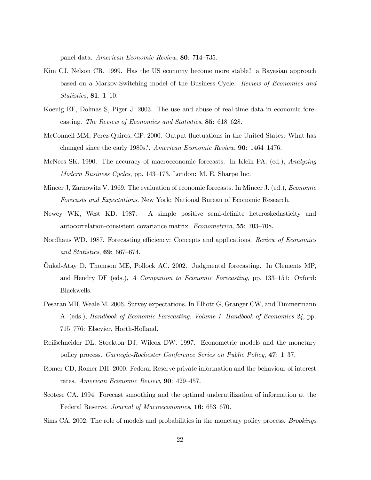panel data. American Economic Review, 80: 714—735.

- Kim CJ, Nelson CR. 1999. Has the US economy become more stable? a Bayesian approach based on a Markov-Switching model of the Business Cycle. Review of Economics and Statistics, 81: 1—10.
- Koenig EF, Dolmas S, Piger J. 2003. The use and abuse of real-time data in economic forecasting. The Review of Economics and Statistics, 85: 618—628.
- McConnell MM, Perez-Quiros, GP. 2000. Output fluctuations in the United States: What has changed since the early 1980s?. American Economic Review, 90: 1464—1476.
- McNees SK. 1990. The accuracy of macroeconomic forecasts. In Klein PA. (ed.), Analyzing Modern Business Cycles, pp. 143—173. London: M. E. Sharpe Inc.
- Mincer J, Zarnowitz V. 1969. The evaluation of economic forecasts. In Mincer J. (ed.), Economic Forecasts and Expectations. New York: National Bureau of Economic Research.
- Newey WK, West KD. 1987. A simple positive semi-definite heteroskedasticity and autocorrelation-consistent covariance matrix. Econometrica, 55: 703—708.
- Nordhaus WD. 1987. Forecasting efficiency: Concepts and applications. Review of Economics and Statistics, 69: 667—674.
- Önkal-Atay D, Thomson ME, Pollock AC. 2002. Judgmental forecasting. In Clements MP, and Hendry DF (eds.), A Companion to Economic Forecasting, pp. 133—151: Oxford: Blackwells.
- Pesaran MH, Weale M. 2006. Survey expectations. In Elliott G, Granger CW, and Timmermann A. (eds.), Handbook of Economic Forecasting, Volume 1. Handbook of Economics 24, pp. 715—776: Elsevier, Horth-Holland.
- Reifschneider DL, Stockton DJ, Wilcox DW. 1997. Econometric models and the monetary policy process. Carnegie-Rochester Conference Series on Public Policy, 47: 1—37.
- Romer CD, Romer DH. 2000. Federal Reserve private information and the behaviour of interest rates. American Economic Review, 90: 429—457.
- Scotese CA. 1994. Forecast smoothing and the optimal underutilization of information at the Federal Reserve. Journal of Macroeconomics, 16: 653—670.
- Sims CA. 2002. The role of models and probabilities in the monetary policy process. Brookings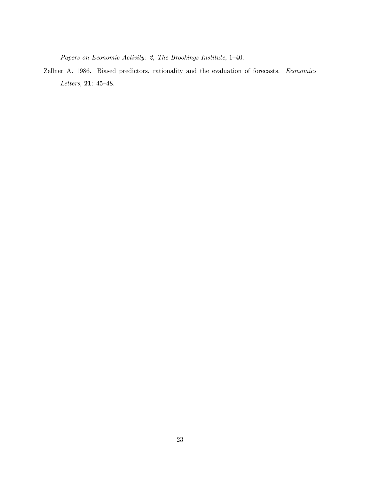Papers on Economic Activity: 2, The Brookings Institute, 1—40.

Zellner A. 1986. Biased predictors, rationality and the evaluation of forecasts. Economics Letters, 21: 45—48.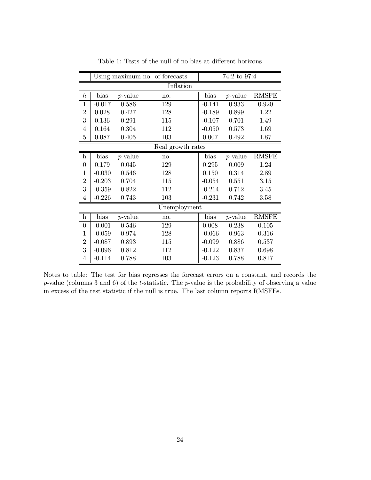|                  |          |            | Using maximum no. of forecasts | 74:2 to 97:4 |            |              |  |
|------------------|----------|------------|--------------------------------|--------------|------------|--------------|--|
|                  |          |            | Inflation                      |              |            |              |  |
| $\boldsymbol{h}$ | bias     | $p$ -value | no.                            | bias         | $p$ -value | <b>RMSFE</b> |  |
| $\mathbf{1}$     | $-0.017$ | 0.586      | 129                            | $-0.141$     | 0.933      | 0.920        |  |
| $\overline{2}$   | 0.028    | 0.427      | 128                            | $-0.189$     | 0.899      | 1.22         |  |
| 3                | 0.136    | 0.291      | 115                            | $-0.107$     | 0.701      | 1.49         |  |
| $\overline{4}$   | 0.164    | 0.304      | 112                            | $-0.050$     | 0.573      | 1.69         |  |
| $\overline{5}$   | 0.087    | 0.405      | 103                            | 0.007        | 0.492      | 1.87         |  |
|                  |          |            | Real growth rates              |              |            |              |  |
| $\mathbf{h}$     | bias     | $p$ -value | no.                            | bias         | $p$ -value | <b>RMSFE</b> |  |
| $\overline{0}$   | 0.179    | 0.045      | 129                            | 0.295        | 0.009      | 1.24         |  |
| $\mathbf{1}$     | $-0.030$ | 0.546      | 128                            | 0.150        | 0.314      | 2.89         |  |
| $\overline{2}$   | $-0.203$ | 0.704      | 115                            | $-0.054$     | 0.551      | 3.15         |  |
| 3                | $-0.359$ | 0.822      | 112                            | $-0.214$     | 0.712      | 3.45         |  |
| $\overline{4}$   | $-0.226$ | 0.743      | 103                            | $-0.231$     | 0.742      | 3.58         |  |
|                  |          |            | Unemployment                   |              |            |              |  |
| $\rm h$          | bias     | $p$ -value | no.                            | bias         | $p$ -value | <b>RMSFE</b> |  |
| $\boldsymbol{0}$ | $-0.001$ | 0.546      | 129                            | 0.008        | 0.238      | 0.105        |  |
| $\mathbf{1}$     | $-0.059$ | 0.974      | 128                            | $-0.066$     | 0.963      | 0.316        |  |
| $\overline{2}$   | $-0.087$ | 0.893      | 115                            | $-0.099$     | 0.886      | 0.537        |  |
| 3                | $-0.096$ | 0.812      | 112                            | $-0.122$     | 0.837      | 0.698        |  |
| $\overline{4}$   | $-0.114$ | 0.788      | 103                            | $-0.123$     | 0.788      | 0.817        |  |

Table 1: Tests of the null of no bias at different horizons

 $\blacksquare$ 

Notes to table: The test for bias regresses the forecast errors on a constant, and records the  $p$ -value (columns 3 and 6) of the t-statistic. The  $p$ -value is the probability of observing a value in excess of the test statistic if the null is true. The last column reports RMSFEs.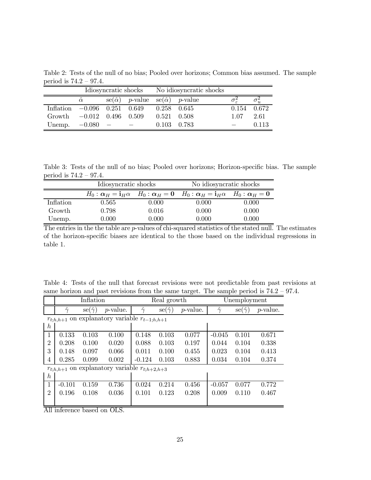Table 2: Tests of the null of no bias; Pooled over horizons; Common bias assumed. The sample period is 74.2 — 97.4.

|                  |                      | Idiosyncratic shocks |                                    |                 | No idiosyncratic shocks            |      |               |
|------------------|----------------------|----------------------|------------------------------------|-----------------|------------------------------------|------|---------------|
|                  | $\hat{\alpha}$       |                      | $se(\hat{\alpha})$ <i>p</i> -value |                 | $se(\hat{\alpha})$ <i>p</i> -value |      |               |
| <b>Inflation</b> | $-0.096$ 0.251 0.649 |                      |                                    |                 | $0.258$ 0.645                      |      | $0.154$ 0.672 |
| Growth           | $-0.012$ 0.496 0.509 |                      |                                    | $0.521$ $0.508$ |                                    | 1.07 | 2.61          |
| Unemp.           | $-0.080$             |                      |                                    | 0.103           | 0.783                              |      | 0.113         |

Table 3: Tests of the null of no bias; Pooled over horizons; Horizon-specific bias. The sample period is 74.2 — 97.4.  $\equiv$ 

|           | Idiosyncratic shocks |           | No idiosyncratic shocks                                                                                             |       |  |  |
|-----------|----------------------|-----------|---------------------------------------------------------------------------------------------------------------------|-------|--|--|
|           |                      |           | $H_0: \alpha_H = \mathbf{i}_H \alpha$ $H_0: \alpha_H = 0$ $H_0: \alpha_H = \mathbf{i}_H \alpha$ $H_0: \alpha_H = 0$ |       |  |  |
| Inflation | 0.565                | $0.000\,$ | 0.000                                                                                                               | 0.000 |  |  |
| Growth    | 0.798                | 0.016     | 0.000                                                                                                               | 0.000 |  |  |
| Unemp.    | 0.000                | 0.000     | 0.000                                                                                                               | 0.000 |  |  |

The entries in the the table are *p*-values of chi-squared statistics of the stated null. The estimates of the horizon-specific biases are identical to the those based on the individual regressions in table 1.

|  |  |  | Table 4: Tests of the null that forecast revisions were not predictable from past revisions at |  |  |
|--|--|--|------------------------------------------------------------------------------------------------|--|--|
|  |  |  | same horizon and past revisions from the same target. The sample period is $74.2 - 97.4$ .     |  |  |

|                  |                | Inflation                   |                                         |                                     | Real growth                 |                  | Unemployment            |                           |                  |  |
|------------------|----------------|-----------------------------|-----------------------------------------|-------------------------------------|-----------------------------|------------------|-------------------------|---------------------------|------------------|--|
|                  | $\hat{\gamma}$ | $\mathrm{se}(\hat{\gamma})$ | <i>p</i> -value.                        | $\widehat{\phantom{a}}$<br>$\gamma$ | $\mathrm{se}(\hat{\gamma})$ | <i>p</i> -value. | $\sim$<br>$\ddot{\sim}$ | $\text{se}(\hat{\gamma})$ | <i>p</i> -value. |  |
|                  | $r_{t:h,h+1}$  |                             | on explanatory variable $r_{t-1;h,h+1}$ |                                     |                             |                  |                         |                           |                  |  |
| $\boldsymbol{h}$ |                |                             |                                         |                                     |                             |                  |                         |                           |                  |  |
| 1                | 0.133          | 0.103                       | 0.100                                   | 0.148                               | 0.103                       | 0.077            | $-0.045$                | 0.101                     | 0.671            |  |
| $\overline{2}$   | 0.208          | 0.100                       | 0.020                                   | 0.088                               | 0.103                       | 0.197            | 0.044                   | 0.104                     | 0.338            |  |
| 3                | 0.148          | 0.097                       | 0.066                                   | 0.011                               | 0.100                       | 0.455            | 0.023                   | 0.104                     | 0.413            |  |
| 4                | 0.285          | 0.099                       | 0.002                                   | $-0.124$                            | 0.103                       | 0.883            | 0.034                   | 0.104                     | 0.374            |  |
|                  | $r_{t:h,h+1}$  |                             | on explanatory variable $r_{t;h+2,h+3}$ |                                     |                             |                  |                         |                           |                  |  |
| $\boldsymbol{h}$ |                |                             |                                         |                                     |                             |                  |                         |                           |                  |  |
| 1                | $-0.101$       | 0.159                       | 0.736                                   | 0.024                               | 0.214                       | 0.456            | $-0.057$                | 0.077                     | 0.772            |  |
| $\overline{2}$   | 0.196          | 0.108                       | 0.036                                   | 0.101                               | 0.123                       | 0.208            | 0.009                   | 0.110                     | 0.467            |  |
|                  |                |                             |                                         |                                     |                             |                  |                         |                           |                  |  |

All inference based on OLS.